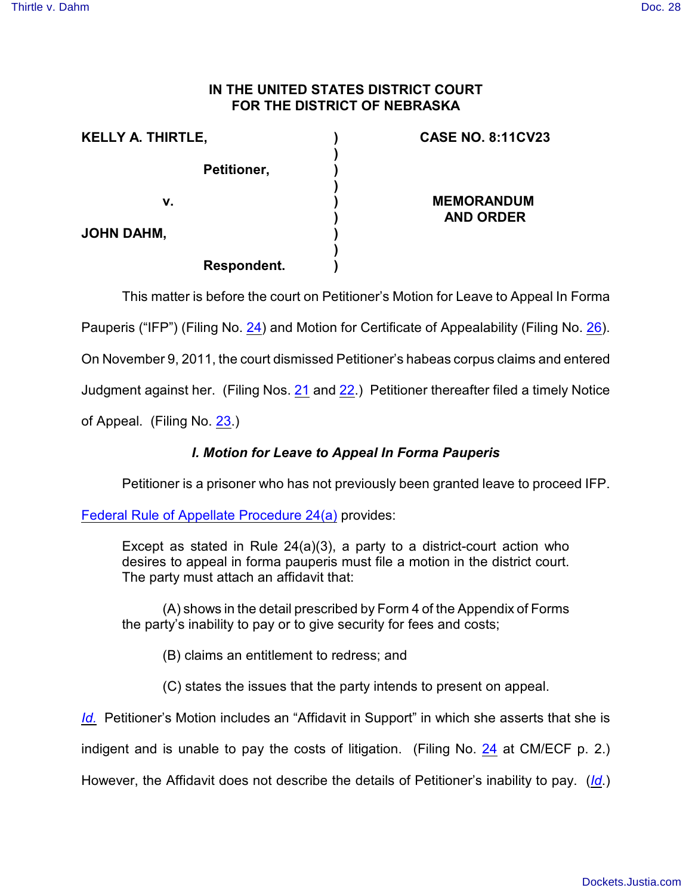## **IN THE UNITED STATES DISTRICT COURT FOR THE DISTRICT OF NEBRASKA**

| <b>KELLY A. THIRTLE,</b> | <b>CASE NO. 8:11CV23</b> |
|--------------------------|--------------------------|
| Petitioner,              |                          |
| v.                       | <b>MEMORANDUM</b>        |
| <b>JOHN DAHM,</b>        | <b>AND ORDER</b>         |
| <b>Respondent.</b>       |                          |

This matter is before the court on Petitioner's Motion for Leave to Appeal In Forma

Pauperis ("IFP") (Filing No. [24](http://ecf.ned.uscourts.gov/doc1/11302415549)) and Motion for Certificate of Appealability (Filing No. [26](http://ecf.ned.uscourts.gov/doc1/11302436293)).

On November 9, 2011, the court dismissed Petitioner's habeas corpus claims and entered

Judgment against her. (Filing Nos. [21](https://ecf.ned.uscourts.gov/doc1/11312396214) and [22](https://ecf.ned.uscourts.gov/doc1/11312396224).) Petitioner thereafter filed a timely Notice

of Appeal. (Filing No. [23](http://ecf.ned.uscourts.gov/doc1/11302415542).)

## *I. Motion for Leave to Appeal In Forma Pauperis*

Petitioner is a prisoner who has not previously been granted leave to proceed IFP.

[Federal Rule of Appellate Procedure 24\(a\)](http://www.westlaw.com/find/default.wl?rs=CLWP3.0&vr=2.0&cite=CCPPROCEDURE+24%28a%29%283%29) provides:

Except as stated in Rule 24(a)(3), a party to a district-court action who desires to appeal in forma pauperis must file a motion in the district court. The party must attach an affidavit that:

(A) shows in the detail prescribed by Form 4 of the Appendix of Forms the party's inability to pay or to give security for fees and costs;

(B) claims an entitlement to redress; and

(C) states the issues that the party intends to present on appeal.

*[Id.](http://www.westlaw.com/find/default.wl?rs=CLWP3.0&vr=2.0&cite=CCPPROCEDURE+24%28a%29%283%29)* Petitioner's Motion includes an "Affidavit in Support" in which she asserts that she is

indigent and is unable to pay the costs of litigation. (Filing No. [24](http://ecf.ned.uscourts.gov/doc1/11302415549) at CM/ECF p. 2.)

However, the Affidavit does not describe the details of Petitioner's inability to pay. (*[Id](https://ecf.ned.uscourts.gov/doc1/11312415549)*.)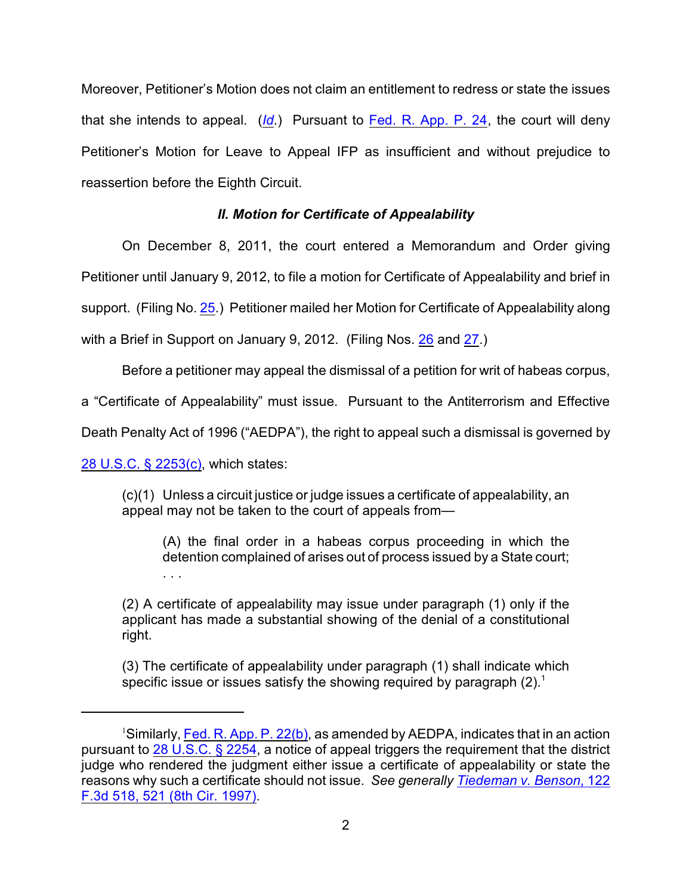Moreover, Petitioner's Motion does not claim an entitlement to redress or state the issues that she intends to appeal. (*[Id](https://ecf.ned.uscourts.gov/doc1/11312415549)*.) Pursuant to [Fed. R. App. P. 24](http://web2.westlaw.com/find/default.wl?cite=Fed.+R.+App.+Pro.+24&rs=WLW12.01&vr=2.0&rp=%2ffind%2fdefault.wl&sv=Split&fn=_top&mt=Westlaw), the court will deny Petitioner's Motion for Leave to Appeal IFP as insufficient and without prejudice to reassertion before the Eighth Circuit.

## *II. Motion for Certificate of Appealability*

On December 8, 2011, the court entered a Memorandum and Order giving

Petitioner until January 9, 2012, to file a motion for Certificate of Appealability and brief in

support. (Filing No. [25](http://ecf.ned.uscourts.gov/doc1/11302416173).) Petitioner mailed her Motion for Certificate of Appealability along

with a Brief in Support on January 9, 2012. (Filing Nos. [26](https://ecf.ned.uscourts.gov/doc1/11312436293) and [27](https://ecf.ned.uscourts.gov/doc1/11312436296).)

Before a petitioner may appeal the dismissal of a petition for writ of habeas corpus,

a "Certificate of Appealability" must issue. Pursuant to the Antiterrorism and Effective

Death Penalty Act of 1996 ("AEDPA"), the right to appeal such a dismissal is governed by

[28 U.S.C. § 2253\(c\)](http://web2.westlaw.com/find/default.wl?fn=_top&rs=WLW8.09&rp=%2ffind%2fdefault.wl&mt=Westlaw&vr=2.0&sv=Split&cite=28+U.S.C.+%c2%a7+2253(c)), which states:

. . .

(c)(1) Unless a circuit justice or judge issues a certificate of appealability, an appeal may not be taken to the court of appeals from—

(A) the final order in a habeas corpus proceeding in which the detention complained of arises out of process issued by a State court;

(2) A certificate of appealability may issue under paragraph (1) only if the applicant has made a substantial showing of the denial of a constitutional right.

(3) The certificate of appealability under paragraph (1) shall indicate which specific issue or issues satisfy the showing required by paragraph  $(2)$ .<sup>1</sup>

<sup>&</sup>lt;sup>1</sup>Similarly, [Fed. R. App. P. 22\(b\)](http://web2.westlaw.com/find/default.wl?fn=_top&rs=WLW8.09&rp=%2ffind%2fdefault.wl&mt=Westlaw&vr=2.0&sv=Split&cite=frap+22), as amended by AEDPA, indicates that in an action pursuant to [28 U.S.C. § 2254](http://web2.westlaw.com/find/default.wl?fn=_top&rs=WLW8.09&rp=%2ffind%2fdefault.wl&mt=Westlaw&vr=2.0&sv=Split&cite=28+usc+2254), a notice of appeal triggers the requirement that the district judge who rendered the judgment either issue a certificate of appealability or state the reasons why such a certificate should not issue. *See generally [Tiedeman v. Benson](http://web2.westlaw.com/find/default.wl?fn=_top&rs=WLW8.09&rp=%2ffind%2fdefault.wl&mt=Westlaw&vr=2.0&sv=Split&cite=122+f+3d+521)*, 122 [F.3d 518, 521 \(8th Cir. 1997\)](http://web2.westlaw.com/find/default.wl?fn=_top&rs=WLW8.09&rp=%2ffind%2fdefault.wl&mt=Westlaw&vr=2.0&sv=Split&cite=122+f+3d+521).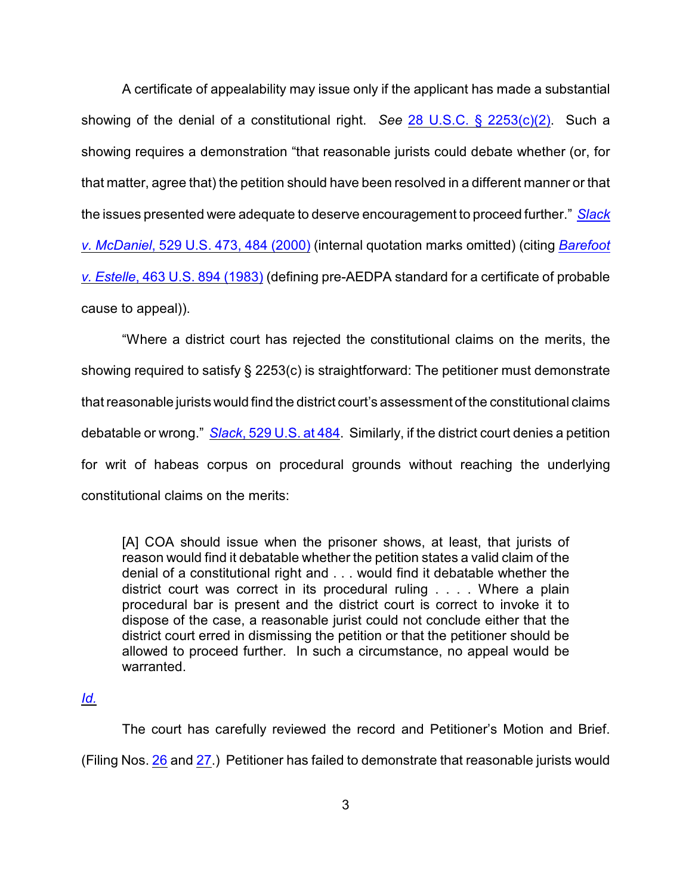A certificate of appealability may issue only if the applicant has made a substantial showing of the denial of a constitutional right. *See* [28 U.S.C. § 2253\(c\)\(2\)](http://web2.westlaw.com/find/default.wl?fn=_top&rs=WLW8.09&rp=%2ffind%2fdefault.wl&mt=Westlaw&vr=2.0&sv=Split&cite=28+U.S.C.+%c2%a7+2253(c)(2)). Such a showing requires a demonstration "that reasonable jurists could debate whether (or, for that matter, agree that) the petition should have been resolved in a different manner or that the issues presented were adequate to deserve encouragement to proceed further." *[Slack](http://web2.westlaw.com/find/default.wl?fn=_top&rs=WLW8.09&rp=%2ffind%2fdefault.wl&mt=Westlaw&vr=2.0&sv=Split&cite=529+us+484) v. McDaniel*[, 529 U.S. 473, 484 \(2000\)](http://web2.westlaw.com/find/default.wl?fn=_top&rs=WLW8.09&rp=%2ffind%2fdefault.wl&mt=Westlaw&vr=2.0&sv=Split&cite=529+us+484) (internal quotation marks omitted) (citing *[Barefoot](http://web2.westlaw.com/find/default.wl?fn=_top&rs=WLW8.09&rp=%2ffind%2fdefault.wl&mt=Westlaw&vr=2.0&sv=Split&cite=463+us+894) v. Estelle*[, 463 U.S. 894 \(1983\)](http://web2.westlaw.com/find/default.wl?fn=_top&rs=WLW8.09&rp=%2ffind%2fdefault.wl&mt=Westlaw&vr=2.0&sv=Split&cite=463+us+894) (defining pre-AEDPA standard for a certificate of probable cause to appeal)).

"Where a district court has rejected the constitutional claims on the merits, the showing required to satisfy § 2253(c) is straightforward: The petitioner must demonstrate that reasonable jurists would find the district court's assessment of the constitutional claims debatable or wrong." *Slack*[, 529 U.S. at 484](http://web2.westlaw.com/find/default.wl?fn=_top&rs=WLW8.09&rp=%2ffind%2fdefault.wl&mt=Westlaw&vr=2.0&sv=Split&cite=529+us+484). Similarly, if the district court denies a petition for writ of habeas corpus on procedural grounds without reaching the underlying constitutional claims on the merits:

[A] COA should issue when the prisoner shows, at least, that jurists of reason would find it debatable whether the petition states a valid claim of the denial of a constitutional right and . . . would find it debatable whether the district court was correct in its procedural ruling . . . . Where a plain procedural bar is present and the district court is correct to invoke it to dispose of the case, a reasonable jurist could not conclude either that the district court erred in dismissing the petition or that the petitioner should be allowed to proceed further. In such a circumstance, no appeal would be warranted.

## *[Id.](http://web2.westlaw.com/find/default.wl?fn=_top&rs=WLW8.09&rp=%2ffind%2fdefault.wl&mt=Westlaw&vr=2.0&sv=Split&cite=529+us+484)*

The court has carefully reviewed the record and Petitioner's Motion and Brief. (Filing Nos. [26](https://ecf.ned.uscourts.gov/doc1/11312436293) and [27](https://ecf.ned.uscourts.gov/doc1/11312436296).) Petitioner has failed to demonstrate that reasonable jurists would